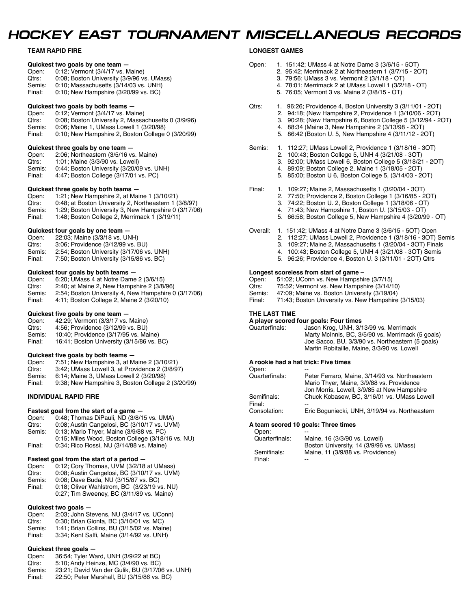## *HOCKEY EAST TOURNAMENT MISCELLANEOUS RECORDS*

#### **TEAM RAPID FIRE**

|                                   | Quickest two goals by one team -                            |  |
|-----------------------------------|-------------------------------------------------------------|--|
| Open:                             | 0.12; Vermont (3/4/17 vs. Maine)                            |  |
| Qtrs:                             | 0:08; Boston University (3/9/96 vs. UMass)                  |  |
| Semis:                            | 0:10; Massachusetts (3/14/03 vs. UNH)                       |  |
| Final:                            | 0:10; New Hampshire (3/20/99 vs. BC)                        |  |
|                                   | Quickest two goals by both teams -                          |  |
| Open:                             | 0:12; Vermont (3/4/17 vs. Maine)                            |  |
| Qtrs:                             | 0:08; Boston University 2, Massachusetts 0 (3/9/96)         |  |
|                                   | Semis: 0:06; Maine 1, UMass Lowell 1 (3/20/98)              |  |
| Final:                            | 0:10; New Hampshire 2, Boston College 0 (3/20/99)           |  |
|                                   | Quickest three goals by one team -                          |  |
| Open:                             | 2:06; Northeastern (3/5/16 vs. Maine)                       |  |
| Qtrs:                             | 1:01; Maine (3/3/90 vs. Lowell)                             |  |
|                                   | Semis: 0:44; Boston University (3/20/09 vs. UNH)            |  |
|                                   | Final: 4:47; Boston College (3/17/01 vs. PC)                |  |
|                                   | Quickest three goals by both teams -                        |  |
|                                   | Open: 1:21; New Hampshire 2, at Maine 1 (3/10/21)           |  |
| Qtrs:                             | 0:48; at Boston University 2, Northeastern 1 (3/8/97)       |  |
|                                   | Semis: 1:29; Boston University 3, New Hampshire 0 (3/17/06) |  |
| Final:                            | 1:48; Boston College 2, Merrimack 1 (3/19/11)               |  |
| Quickest four goals by one team - |                                                             |  |
| Open:                             | 22:03; Maine (3/3/18 vs. UNH)                               |  |
| Qtrs:                             | 3:06; Providence (3/12/99 vs. BU)                           |  |
|                                   | Semis: 2:54; Boston University (3/17/06 vs. UNH)            |  |
| Final:                            | 7:50; Boston University (3/15/86 vs. BC)                    |  |
|                                   | Quickest four goals by both teams $-$                       |  |
|                                   | Open: 6:20; UMass 4 at Notre Dame 2 (3/6/15)                |  |
| Qtrs:                             | 2:40; at Maine 2, New Hampshire 2 (3/8/96)                  |  |
|                                   | (0,1)                                                       |  |

Semis: 2:54; Boston University 4, New Hampshire 0 (3/17/06)<br>Final: 4:11; Boston College 2, Maine 2 (3/20/10) 4:11; Boston College 2, Maine 2 (3/20/10)

#### **Quickest five goals by one team —**

| Open:        | 42:29; Vermont (3/3/17 vs. Maine)        |
|--------------|------------------------------------------|
| Qtrs:        | 4:56; Providence (3/12/99 vs. BU)        |
| $C_{\alpha}$ | $10.40$ Providence $(2/17/05$ vs. Maine) |

Semis: 10:40; Providence (3/17/95 vs. Maine)<br>Final: 16:41: Boston University (3/15/86 vs. I 16:41; Boston University (3/15/86 vs. BC)

#### **Quickest five goals by both teams —**

| Open:  | 7:51; New Hampshire 3, at Maine 2 (3/10/21)       |
|--------|---------------------------------------------------|
| Otrs:  | 3:42; UMass Lowell 3, at Providence 2 (3/8/97)    |
| Semis: | 6:14; Maine 3, UMass Lowell 2 (3/20/98)           |
| Final: | 9:38; New Hampshire 3, Boston College 2 (3/20/99) |
|        |                                                   |

#### **INDIVIDUAL RAPID FIRE**

## **Fastest goal from the start of a game - Open:** 0:48; Thomas DiPauli, ND (3/8/1)

- Open: 0:48; Thomas DiPauli, ND (3/8/15 vs. UMA)<br>Qtrs: 0:08: Austin Cangelosi. BC (3/10/17 vs. UVN
- Qtrs: 0:08; Austin Cangelosi, BC (3/10/17 vs. UVM)<br>Semis: 0:13: Mario Thver. Maine (3/9/88 vs. PC)
- 0:13; Mario Thyer, Maine (3/9/88 vs. PC)
- 0:15; Miles Wood, Boston College (3/18/16 vs. NU) Final: 0:34; Rico Rossi, NU (3/14/88 vs. Maine)

#### **Fastest goal from the start of a period —**

| Open: | 0:12; Cory Thomas, UVM (3/2/18 at UMass) |
|-------|------------------------------------------|
|       |                                          |

- Qtrs: 0:08; Austin Cangelosi, BC (3/10/17 vs. UVM)
- Semis: 0:08; Dave Buda, NU (3/15/87 vs. BC)<br>Final: 0:18; Oliver Wahlstrom, BC (3/23/19 v
- 0:18; Oliver Wahlstrom, BC (3/23/19 vs. NU) 0:27; Tim Sweeney, BC (3/11/89 vs. Maine)

### **Quickest two goals —**

| Open:  | 2:03; John Stevens, NU (3/4/17 vs. UConn)   |
|--------|---------------------------------------------|
| Otrs:  | 0.30; Brian Gionta, BC (3/10/01 vs. MC)     |
| Semis: | 1:41; Brian Collins, BU (3/15/02 vs. Maine) |
| Final: | 3:34; Kent Salfi, Maine (3/14/92 vs. UNH)   |

### **Quickest three goals —**

| Open: | 36.54; Tyler Ward, UNH (3/9/22 at BC) |
|-------|---------------------------------------|
| Qtrs: | 5:10; Andy Heinze, MC (3/4/90 vs. BC) |

- Semis: 23:21; David Van der Gulik, BU (3/17/06 vs. UNH)
- Final: 22:50; Peter Marshall, BU (3/15/86 vs. BC)

#### **LONGEST GAMES**

| Open:    | 1. 151:42; UMass 4 at Notre Dame 3 (3/6/15 - 5OT)<br>2. 95:42; Merrimack 2 at Northeastern 1 (3/7/15 - 20T)<br>3. 79:56; UMass 3 vs. Vermont 2 (3/1/18 - OT)<br>4. 78:01; Merrimack 2 at UMass Lowell 1 (3/2/18 - OT)<br>5. 76:05; Vermont 3 vs. Maine 2 (3/8/15 - OT)                                  |
|----------|---------------------------------------------------------------------------------------------------------------------------------------------------------------------------------------------------------------------------------------------------------------------------------------------------------|
| Qtrs:    | 1. 96:26; Providence 4, Boston University 3 (3/11/01 - 2OT)<br>2. 94:18; (New Hampshire 2, Providence 1 (3/10/06 - 20T)<br>3. 90:28; (New Hampshire 6, Boston College 5 (3/12/94 - 20T)<br>4. 88:34 (Maine 3, New Hampshire 2 (3/13/98 - 20T)<br>5. 86:42 (Boston U. 5, New Hampshire 4 (3/11/12 - 20T) |
| Semis:   | 1. 112:27; UMass Lowell 2, Providence 1 (3/18/16 - 3OT)<br>2. 100:43; Boston College 5, UNH 4 (3/21/08 - 3OT)<br>3. 92:00; UMass Lowell 6, Boston College 5 (3/18/21 - 20T)<br>4. 89:09; Boston College 2, Maine 1 (3/18/05 - 2OT)<br>5. 85:00; Boston U 6, Boston College 5, (3/14/03 - 20T)           |
| Final:   | 1. 109:27; Maine 2, Massachusetts 1 (3/20/04 - 3OT)<br>2. 77:50; Providence 2, Boston College 1 (3/16/85 - 20T)<br>3. 74:22; Boston U. 2, Boston College 1 (3/18/06 - OT)<br>4. 71:43; New Hampshire 1, Boston U. (3/15/03 - OT)<br>5. 66:58; Boston College 5, New Hampshire 4 (3/20/99 - OT)          |
| Overall: | 1. 151:42; UMass 4 at Notre Dame 3 (3/6/15 - 5OT) Open<br>2. 112:27; UMass Lowell 2, Providence 1 (3/18/16 - 3OT) Semis<br>3. 109:27; Maine 2, Massachusetts 1 (3/20/04 - 3OT) Finals                                                                                                                   |

4. 100:43; Boston College 5, UNH 4 (3/21/08 - 3OT) Semis 5. 96:26; Providence 4, Boston U. 3 (3/11/01 - 2OT) Qtrs

#### **Longest scoreless from start of game –**

| Open:  | 51:02; UConn vs. New Hampshire (3/7/15)             |
|--------|-----------------------------------------------------|
| Qtrs:  | 75:52, Vermont vs. New Hampshire (3/14/10)          |
| Semis: | $\Delta$ 7.00 Maine vs. Roston University (3/19/04) |

| Semis: | 47.09; Maine vs. Boston University (3/19/04)         |
|--------|------------------------------------------------------|
| Final: | 71:43; Boston University vs. New Hampshire (3/15/03) |

#### **THE LAST TIME**

**A player scored four goals: Four times** Jason Krog, UNH, 3/13/99 vs. Merrimack Marty McInnis, BC, 3/5/90 vs. Merrimack (5 goals) Joe Sacco, BU, 3/3/90 vs. Northeastern (5 goals) Martin Robitaille, Maine, 3/3/90 vs. Lowell

#### **A rookie had a hat trick: Five times**

| Open:          |                                                |
|----------------|------------------------------------------------|
| Quarterfinals: | Peter Ferraro, Maine, 3/14/93 vs. Northeastern |
|                | Mario Thyer, Maine, 3/9/88 vs. Providence      |
|                | Jon Morris, Lowell, 3/9/85 at New Hampshire    |
| Semifinals:    | Chuck Kobasew, BC, 3/16/01 vs. UMass Lowell    |
| Final:         |                                                |
| Consolation:   | Eric Boguniecki, UNH, 3/19/94 vs. Northeastern |
|                |                                                |

#### **A team scored 10 goals: Three times**

| Maine, 16 (3/3/90 vs. Lowell)            |
|------------------------------------------|
| Boston University, 14 (3/9/96 vs. UMass) |
| Maine, 11 (3/9/88 vs. Providence)        |
|                                          |
|                                          |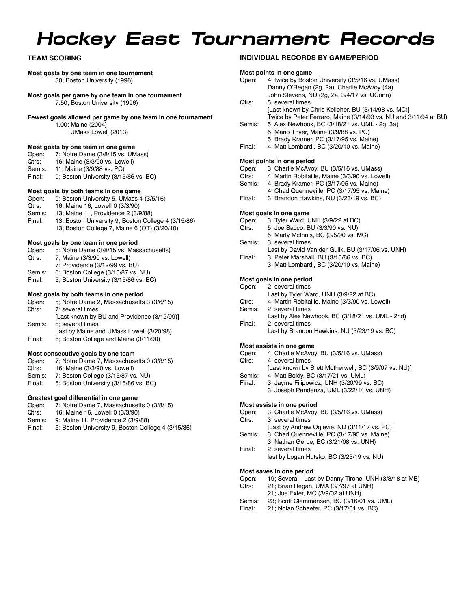# *Hockey East Tournament Records*

### **TEAM SCORING**

#### **Most goals by one team in one tournament** 30; Boston University (1996)

**Most goals per game by one team in one tournament**

7.50; Boston University (1996)

#### **Fewest goals allowed per game by one team in one tournament**

1.00; Maine (2004)

UMass Lowell (2013)

### **Most goals by one team in one game**<br>Open: 7: Notre Dame (3/8/15 vs. UM

- 7; Notre Dame (3/8/15 vs. UMass)
- Qtrs: 16; Maine (3/3/90 vs. Lowell)<br>Semis: 11: Maine (3/9/88 vs. PC)
- Semis: 11; Maine (3/9/88 vs. PC)<br>Final: 9: Boston University (3/15 9; Boston University (3/15/86 vs. BC)

#### **Most goals by both teams in one game**

- Open: 9; Boston University 5, UMass 4 (3/5/16)<br>Otrs: 16: Maine 16. Lowell 0 (3/3/90)
- Qtrs: 16; Maine 16, Lowell 0 (3/3/90)<br>Semis: 13: Maine 11, Providence 2 (3/9
- 13: Maine 11, Providence 2 (3/9/88)
- Final: 13; Boston University 9, Boston College 4 (3/15/86) 13; Boston College 7, Maine 6 (OT) (3/20/10)

#### **Most goals by one team in one period**

- Open: 5; Notre Dame (3/8/15 vs. Massachusetts)<br>Qtrs: 7; Maine (3/3/90 vs. Lowell)
- 7; Maine (3/3/90 vs. Lowell)
- 7; Providence (3/12/99 vs. BU)
- Semis: 6; Boston College (3/15/87 vs. NU)<br>Final: 5; Boston University (3/15/86 vs. B
- 5; Boston University (3/15/86 vs. BC)

#### **Most goals by both teams in one period**

| Open:  | 5; Notre Dame 2, Massachusetts 3 (3/6/15)   |
|--------|---------------------------------------------|
| Qtrs:  | 7; several times                            |
|        | [Last known by BU and Providence (3/12/99)] |
| Semis: | 6: several times                            |
|        | Last by Maine and UMass Lowell (3/20/98)    |

Final: 6; Boston College and Maine (3/11/90)

#### **Most consecutive goals by one team**

- Open: 7; Notre Dame 7, Massachusetts 0 (3/8/15)
- Qtrs: 16; Maine (3/3/90 vs. Lowell)<br>Semis: 7: Boston College (3/15/87 vs.
- 7; Boston College (3/15/87 vs. NU)
- Final: 5; Boston University (3/15/86 vs. BC)

#### **Greatest goal differential in one game**

- Open: 7; Notre Dame 7, Massachusetts 0 (3/8/15)<br>Otrs: 16: Maine 16. Lowell 0 (3/3/90)
- Qtrs: 16; Maine 16, Lowell 0 (3/3/90)
- Semis: 9; Maine 11, Providence 2 (3/9/88)
- Final: 5; Boston University 9, Boston College 4 (3/15/86)

#### **INDIVIDUAL RECORDS BY GAME/PERIOD**

#### **Most points in one game**

| Open:  | 4; twice by Boston University (3/5/16 vs. UMass)                 |
|--------|------------------------------------------------------------------|
|        | Danny O'Regan (2g, 2a), Charlie McAvoy (4a)                      |
|        | John Stevens, NU (2g, 2a, 3/4/17 vs. UConn)                      |
| Qtrs:  | 5: several times                                                 |
|        | [Last known by Chris Kelleher, BU (3/14/98 vs. MC)]              |
|        | Twice by Peter Ferraro, Maine (3/14/93 vs. NU and 3/11/94 at BU) |
| Semis: | 5; Alex Newhook, BC (3/18/21 vs. UML - 2g, 3a)                   |
|        |                                                                  |

- 5; Mario Thyer, Maine (3/9/88 vs. PC) 5; Brady Kramer, PC (3/17/95 vs. Maine)
- Final: 4; Matt Lombardi, BC (3/20/10 vs. Maine)

**Most points in one period**<br>Open: 3: Charlie McAvoy Open: 3; Charlie McAvoy, BU (3/5/16 vs. UMass)<br>Otrs: 4: Martin Robitaille, Maine (3/3/90 vs. Lowe

- Qtrs: 4; Martin Robitaille, Maine (3/3/90 vs. Lowell)<br>Semis: 4: Brady Kramer, PC (3/17/95 vs. Maine)
- 4; Brady Kramer, PC (3/17/95 vs. Maine)
- 4; Chad Quenneville, PC (3/17/95 vs. Maine)
- Final: 3; Brandon Hawkins, NU (3/23/19 vs. BC)

#### **Most goals in one game**

- Open: 3; Tyler Ward, UNH (3/9/22 at BC)<br>Otrs: 5: Joe Sacco, BU (3/3/90 vs. NU)
- 5; Joe Sacco, BU (3/3/90 vs. NU)
	- 5; Marty McInnis, BC (3/5/90 vs. MC)
- Semis: 3; several times
- Last by David Van der Gulik, BU (3/17/06 vs. UNH)
- Final: 3; Peter Marshall, BU (3/15/86 vs. BC) 3; Matt Lombardi, BC (3/20/10 vs. Maine)

#### **Most goals in one period**

#### Open: 2; several times

- Last by Tyler Ward, UNH (3/9/22 at BC)
- Qtrs: 4; Martin Robitaille, Maine (3/3/90 vs. Lowell)
- Semis: 2; several times
- Last by Alex Newhook, BC (3/18/21 vs. UML 2nd) Final: 2; several times
	- Last by Brandon Hawkins, NU (3/23/19 vs. BC)

## **Most assists in one game**<br>Open: 4: Charlie McAvoy

- 4; Charlie McAvoy, BU (3/5/16 vs. UMass)
- Qtrs: 4; several times
- [Last known by Brett Motherwell, BC (3/9/07 vs. NU)]
- Semis: 4; Matt Boldy, BC (3/17/21 vs. UML)
	- Final: 3; Jayme Filipowicz, UNH (3/20/99 vs. BC)
	- 3; Joseph Pendenza, UML (3/22/14 vs. UNH)

#### **Most assists in one period**

- Open: 3; Charlie McAvoy, BU (3/5/16 vs. UMass)
- Qtrs: 3; several times
	- [Last by Andrew Oglevie, ND (3/11/17 vs. PC)]
- Semis: 3; Chad Quenneville, PC (3/17/95 vs. Maine)
- 3; Nathan Gerbe, BC (3/21/08 vs. UNH)
- Final: 2; several times last by Logan Hutsko, BC (3/23/19 vs. NU)

#### **Most saves in one period**

- Open: 19; Several Last by Danny Tirone, UNH (3/3/18 at ME)
- Qtrs: 21; Brian Regan, UMA (3/7/97 at UNH)
- 21; Joe Exter, MC (3/9/02 at UNH)
- Semis: 23; Scott Clemmensen, BC (3/16/01 vs. UML)<br>Final: 21: Nolan Schaefer. PC (3/17/01 vs. BC)
- 21; Nolan Schaefer, PC (3/17/01 vs. BC)